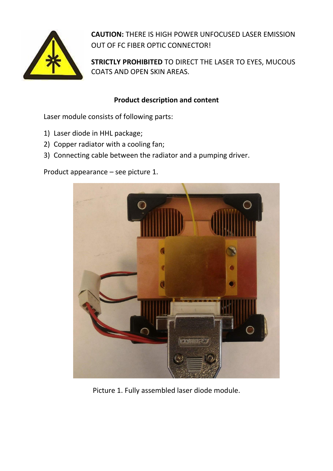

**CAUTION:** THERE IS HIGH POWER UNFOCUSED LASER EMISSION OUT OF FC FIBER OPTIC CONNECTOR!

**STRICTLY PROHIBITED** TO DIRECT THE LASER TO EYES, MUCOUS COATS AND OPEN SKIN AREAS.

# **Product description and content**

Laser module consists of following parts:

- 1) Laser diode in HHL package;
- 2) Copper radiator with a cooling fan;
- 3) Connecting cable between the radiator and a pumping driver.

Product appearance – see picture 1.



Picture 1. Fully assembled laser diode module.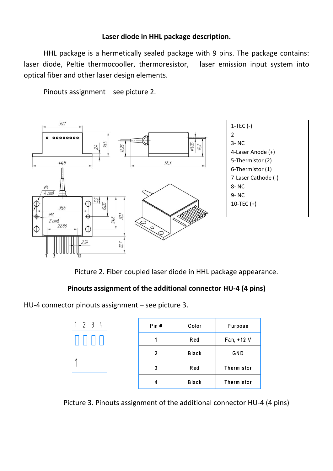## **Laser diode in HHL package description.**

HHL package is a hermetically sealed package with 9 pins. The package contains: laser diode, Peltie thermocooller, thermoresistor, laser emission input system into optical fiber and other laser design elements.

Pinouts assignment – see picture 2.



Picture 2. Fiber coupled laser diode in HHL package appearance.

# **Pinouts assignment of the additional connector HU-4 (4 pins)**

HU-4 connector pinouts assignment – see picture 3.

| 234 | Pin $#$ | Color        | Purpose    |
|-----|---------|--------------|------------|
|     |         | Red          | Fan, +12 V |
|     | 2       | <b>Black</b> | GND        |
|     | 3       | Red          | Thermistor |
|     | 4       | <b>Black</b> | Thermistor |

Picture 3. Pinouts assignment of the additional connector HU-4 (4 pins)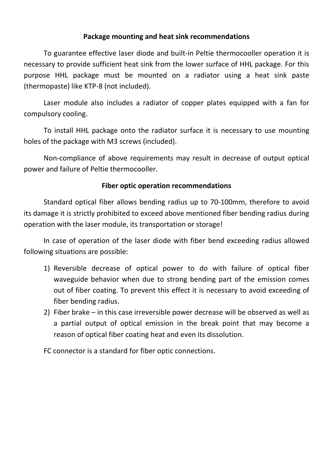## **Package mounting and heat sink recommendations**

To guarantee effective laser diode and built-in Peltie thermocooller operation it is necessary to provide sufficient heat sink from the lower surface of HHL package. For this purpose HHL package must be mounted on a radiator using a heat sink paste (thermopaste) like KTP-8 (not included).

Laser module also includes a radiator of copper plates equipped with a fan for compulsory cooling.

To install HHL package onto the radiator surface it is necessary to use mounting holes of the package with M3 screws (included).

Non-compliance of above requirements may result in decrease of output optical power and failure of Peltie thermocooller.

### **Fiber optic operation recommendations**

Standard optical fiber allows bending radius up to 70-100mm, therefore to avoid its damage it is strictly prohibited to exceed above mentioned fiber bending radius during operation with the laser module, its transportation or storage!

In case of operation of the laser diode with fiber bend exceeding radius allowed following situations are possible:

- 1) Reversible decrease of optical power to do with failure of optical fiber waveguide behavior when due to strong bending part of the emission comes out of fiber coating. To prevent this effect it is necessary to avoid exceeding of fiber bending radius.
- 2) Fiber brake in this case irreversible power decrease will be observed as well as a partial output of optical emission in the break point that may become a reason of optical fiber coating heat and even its dissolution.

FC connector is a standard for fiber optic connections.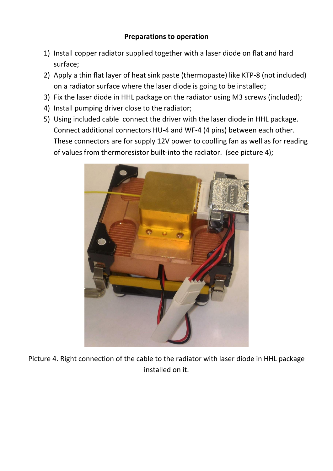- 1) Install copper radiator supplied together with a laser diode on flat and hard surface;
- 2) Apply a thin flat layer of heat sink paste (thermopaste) like KTP-8 (not included) on a radiator surface where the laser diode is going to be installed;
- 3) Fix the laser diode in HHL package on the radiator using M3 screws (included);
- 4) Install pumping driver close to the radiator;
- 5) Using included cable connect the driver with the laser diode in HHL package. Connect additional connectors HU-4 and WF-4 (4 pins) between each other. These connectors are for supply 12V power to coolling fan as well as for reading of values from thermoresistor built-into the radiator. (see picture 4);



Picture 4. Right connection of the cable to the radiator with laser diode in HHL package installed on it.